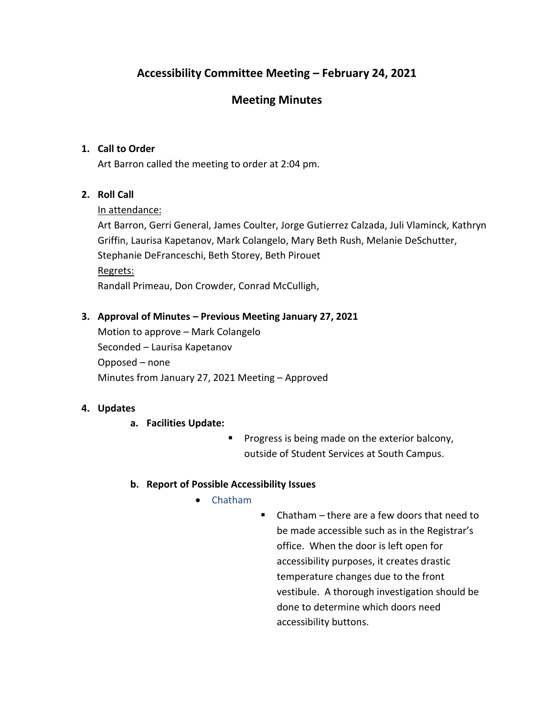# **Accessibility Committee Meeting – February 24, 2021**

## **Meeting Minutes**

### **1. Call to Order**

Art Barron called the meeting to order at 2:04 pm.

## **2. Roll Call**

#### In attendance:

Art Barron, Gerri General, James Coulter, Jorge Gutierrez Calzada, Juli Vlaminck, Kathryn Griffin, Laurisa Kapetanov, Mark Colangelo, Mary Beth Rush, Melanie DeSchutter, Stephanie DeFranceschi, Beth Storey, Beth Pirouet Regrets: Randall Primeau, Don Crowder, Conrad McCulligh,

## **3. Approval of Minutes – Previous Meeting January 27, 2021**

Motion to approve – Mark Colangelo Seconded – Laurisa Kapetanov Opposed – none Minutes from January 27, 2021 Meeting – Approved

#### **4. Updates**

- **a. Facilities Update:**
	- Progress is being made on the exterior balcony, outside of Student Services at South Campus.

#### **b. Report of Possible Accessibility Issues**

- Chatham
- Chatham there are a few doors that need to be made accessible such as in the Registrar's office. When the door is left open for accessibility purposes, it creates drastic temperature changes due to the front vestibule. A thorough investigation should be done to determine which doors need accessibility buttons.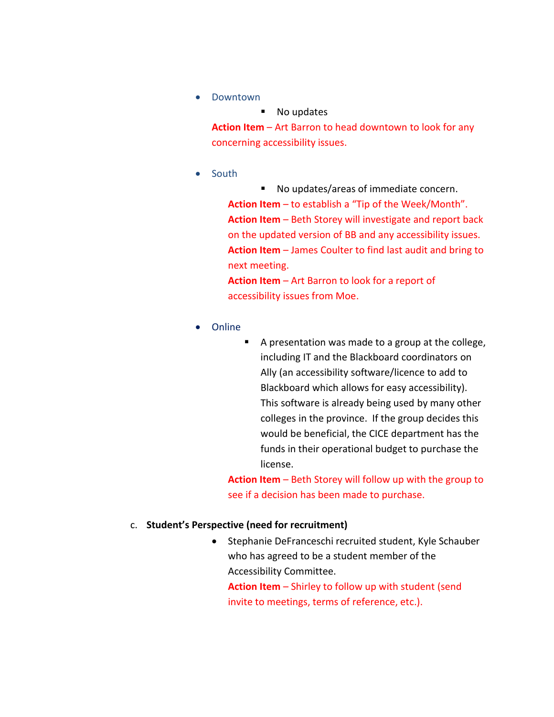• Downtown

■ No updates **Action Item** – Art Barron to head downtown to look for any concerning accessibility issues.

• South

■ No updates/areas of immediate concern. **Action Item** – to establish a "Tip of the Week/Month". **Action Item** – Beth Storey will investigate and report back on the updated version of BB and any accessibility issues. **Action Item** – James Coulter to find last audit and bring to next meeting.

**Action Item** – Art Barron to look for a report of accessibility issues from Moe.

- Online
- A presentation was made to a group at the college, including IT and the Blackboard coordinators on Ally (an accessibility software/licence to add to Blackboard which allows for easy accessibility). This software is already being used by many other colleges in the province. If the group decides this would be beneficial, the CICE department has the funds in their operational budget to purchase the license.

**Action Item** – Beth Storey will follow up with the group to see if a decision has been made to purchase.

#### c. **Student's Perspective (need for recruitment)**

• Stephanie DeFranceschi recruited student, Kyle Schauber who has agreed to be a student member of the Accessibility Committee.

**Action Item** – Shirley to follow up with student (send invite to meetings, terms of reference, etc.).